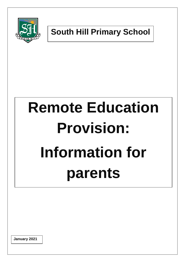

**South Hill Primary School**

# **Remote Education Provision: Information for parents**

**January 2021**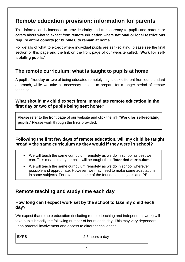# **Remote education provision: information for parents**

This information is intended to provide clarity and transparency to pupils and parents or carers about what to expect from **remote education** where **national or local restrictions require entire cohorts (or bubbles) to remain at home**.

For details of what to expect where individual pupils are self-isolating, please see the final section of this page and the link on the front page of our website called, **'Work for selfisolating pupils.'**

# **The remote curriculum: what is taught to pupils at home**

A pupil's **first day or two** of being educated remotely might look different from our standard approach, while we take all necessary actions to prepare for a longer period of remote teaching.

## **What should my child expect from immediate remote education in the first day or two of pupils being sent home?**

Please refer to the front page of our website and click the link **'Work for self-isolating pupils.'** Please work through the links provided.

## **Following the first few days of remote education, will my child be taught broadly the same curriculum as they would if they were in school?**

- We will teach the same curriculum remotely as we do in school as best we can. This means that your child will be taught their **'Intended curriculum.'**
- We will teach the same curriculum remotely as we do in school wherever possible and appropriate. However, we may need to make some adaptations in some subjects. For example, some of the foundation subjects and PE.

# **Remote teaching and study time each day**

#### **How long can I expect work set by the school to take my child each day?**

We expect that remote education (including remote teaching and independent work) will take pupils broadly the following number of hours each day: This may vary dependent upon parental involvement and access to different challenges.

| <b>LEYFS</b><br>2.5 hours a day |  |
|---------------------------------|--|
|---------------------------------|--|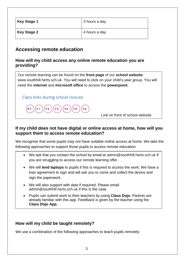| <b>Key Stage 1</b> | 3 hours a day |
|--------------------|---------------|
| <b>Key Stage 2</b> | 4 hours a day |

# **Accessing remote education**

## **How will my child access any online remote education you are providing?**

Our remote learning can be found on the **front page** of our **school website**. [www.southhill.herts.sch.uk](http://www.southhill.herts.sch.uk/) You will need to click on your child's year group. You will need the **internet** and **microsoft office** to access the **powerpoint**.

Class links during school closure:

**Y5** Y6

Link on front of school website.

## **If my child does not have digital or online access at home, how will you support them to access remote education?**

We recognise that some pupils may not have suitable online access at home. We take the following approaches to support those pupils to access remote education:

- We ask that you contact the school by email at [admin@southhill.herts.sch.uk](mailto:admin@southhill.herts.sch.uk) if you are struggling to access our remote learning offer.
- We will **lend laptops** to pupils if this is required to access the work. We have a loan agreement to sign and will ask you to come and collect the device and sign the paperwork.
- We will also support with data if required. Please email [admin@southhill.herts.sch.uk](mailto:admin@southhill.herts.sch.uk) if this is the case.
- Pupils can submit work to their teachers by using **Class Dojo.** Parents are already familiar with this app. Feedback is given by the teacher using the **Class Dojo App.**

## **How will my child be taught remotely?**

We use a combination of the following approaches to teach pupils remotely: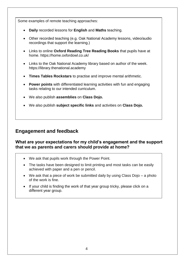Some examples of remote teaching approaches:

- **Daily** recorded lessons for **English** and **Maths** teaching.
- Other recorded teaching (e.g. Oak National Academy lessons, video/audio recordings that support the learning.)
- Links to online **Oxford Reading Tree Reading Books** that pupils have at home.<https://home.oxfordowl.co.uk/>
- Links to the Oak National Academy library based on author of the week. [https://library.thenational.academy](https://library.thenational.academy/)
- **Times Tables Rockstars** to practise and improve mental arithmetic.
- **Power points** with differentiated learning activities with fun and engaging tasks relating to our intended curriculum.
- We also publish **assemblies** on **Class Dojo.**
- We also publish **subject specific links** and activities on **Class Dojo.**

# **Engagement and feedback**

## **What are your expectations for my child's engagement and the support that we as parents and carers should provide at home?**

- We ask that pupils work through the Power Point.
- The tasks have been designed to limit printing and most tasks can be easily achieved with paper and a pen or pencil.
- We ask that a piece of work be submitted daily by using Class Dojo a photo of the work is fine.
- If your child is finding the work of that year group tricky, please click on a different year group.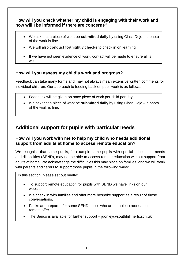## **How will you check whether my child is engaging with their work and how will I be informed if there are concerns?**

- We ask that a piece of work be **submitted daily** by using Class Dojo a photo of the work is fine.
- We will also **conduct fortnightly checks** to check in on learning.
- If we have not seen evidence of work, contact will be made to ensure all is well.

# **How will you assess my child's work and progress?**

Feedback can take many forms and may not always mean extensive written comments for individual children. Our approach to feeding back on pupil work is as follows:

- Feedback will be given on once piece of work per child per day.
- We ask that a piece of work be **submitted daily** by using Class Dojo a photo of the work is fine.

# **Additional support for pupils with particular needs**

## **How will you work with me to help my child who needs additional support from adults at home to access remote education?**

We recognise that some pupils, for example some pupils with special educational needs and disabilities (SEND), may not be able to access remote education without support from adults at home. We acknowledge the difficulties this may place on families, and we will work with parents and carers to support those pupils in the following ways:

In this section, please set out briefly:

- To support remote education for pupils with SEND we have links on our website.
- We check in with families and offer more bespoke support as a result of those conversations.
- Packs are prepared for some SEND pupils who are unable to access our remote offer.
- The Senco is available for further support idonley@southhill.herts.sch.uk